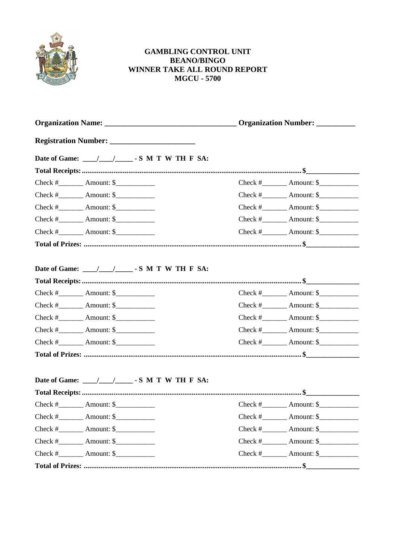

## **GAMBLING CONTROL UNIT BEANO/BINGO** WINNER TAKE ALL ROUND REPORT **MGCU - 5700**

| $Check # _______$ Amount: $\frac{\sqrt{2}}{2}$ |  | Check $\#$ Amount: \$                          |
|------------------------------------------------|--|------------------------------------------------|
| $Check # _______$ Amount: $\frac{1}{2}$        |  | $Check # _______$ Amount: $\frac{1}{2}$        |
| Check $\#$ Amount: $\frac{1}{2}$               |  | Check $\#$ Amount: \$                          |
| Check $\#$ Amount: $\frac{1}{2}$               |  | $Check # _______$ Amount: $\frac{\sqrt{2}}{2}$ |
| Check $\#$ Amount: $\frac{1}{2}$               |  | $Check # _______$ Amount: $\frac{\sqrt{2}}{2}$ |
|                                                |  |                                                |
| Date of Game: /// / S M T W TH F SA:           |  |                                                |
| Check $\#$ Amount: $\frac{1}{2}$               |  | $Check # \tAmount: $$                          |
| Check $\#$ Amount: $\frac{1}{2}$               |  | Check $\#$ Amount: \$                          |
| Check $\#$ Amount: $\frac{1}{2}$               |  | Check $\#$ Amount: \$                          |
| Check $\#$ Amount: \$                          |  | Check $\#$ Amount: \$                          |
| Check $\#$ Amount: \$                          |  | Check $\#$ Amount: \$                          |
|                                                |  |                                                |
| Date of Game: /// / S M T W TH F SA:           |  |                                                |
| Check $\#$ Amount: $\$                         |  | Check $\#$ Amount: $\frac{1}{2}$               |
| Check $\#$ Amount: $\frac{1}{2}$               |  | Check $\#$ Amount: \$                          |
| Check $\#$ Amount: $\frac{1}{2}$               |  | $Check # \tAmount: $$                          |
| Check $\#$ Amount: \$                          |  | Check $\#$ Amount: \$                          |
| Check $\#$ Amount: $\frac{1}{2}$               |  | Check $\#$ Amount: \$                          |
|                                                |  |                                                |